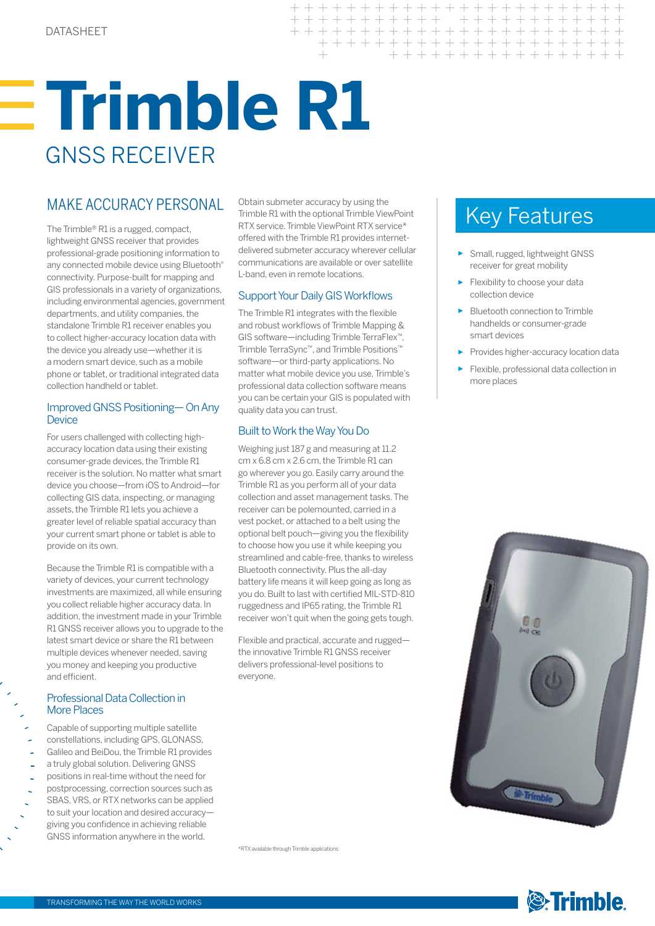# **Trimble R1** GNSS RECEIVER

### MAKE ACCURACY PERSONAL

The Trimble® R1 is a rugged, compact, lightweight GNSS receiver that provides professional-grade positioning information to any connected mobile device using Bluetooth® connectivity. Purpose-built for mapping and GIS professionals in a variety of organizations, including environmental agencies, government departments, and utility companies, the standalone Trimble R1 receiver enables you to collect higher-accuracy location data with the device you already use—whether it is a modern smart device, such as a mobile phone or tablet, or traditional integrated data collection handheld or tablet.

#### Improved GNSS Positioning— On Any **Device**

For users challenged with collecting highaccuracy location data using their existing consumer-grade devices, the Trimble R1 receiver is the solution. No matter what smart device you choose—from iOS to Android—for collecting GIS data, inspecting, or managing assets, the Trimble R1 lets you achieve a greater level of reliable spatial accuracy than your current smart phone or tablet is able to provide on its own.

Because the Trimble R1 is compatible with a variety of devices, your current technology investments are maximized, all while ensuring you collect reliable higher accuracy data. In addition, the investment made in your Trimble R1 GNSS receiver allows you to upgrade to the latest smart device or share the R1 between multiple devices whenever needed, saving you money and keeping you productive and efficient.

#### Professional Data Collection in **More Places**

- Capable of supporting multiple satellite constellations, including GPS, GLONASS, Galileo and BeiDou, the Trimble R1 provides
- a truly global solution. Delivering GNSS positions in real-time without the need for postprocessing, correction sources such as SBAS, VRS, or RTX networks can be applied
- to suit your location and desired accuracy giving you confidence in achieving reliable GNSS information anywhere in the world.

Obtain submeter accuracy by using the Trimble R1 with the optional Trimble ViewPoint RTX service. Trimble ViewPoint RTX service\* offered with the Trimble R1 provides internetdelivered submeter accuracy wherever cellular communications are available or over satellite L-band, even in remote locations.

 $+ + +$ 

 $+$ 

#### Support Your Daily GIS Workflows

The Trimble R1 integrates with the flexible and robust workflows of Trimble Mapping & GIS software—including Trimble TerraFlex™, Trimble TerraSync™, and Trimble Positions™ software—or third-party applications. No matter what mobile device you use, Trimble's professional data collection software means you can be certain your GIS is populated with quality data you can trust.

#### Built to Work the Way You Do

Weighing just 187 g and measuring at 11.2 cm x 6.8 cm x 2.6 cm, the Trimble R1 can go wherever you go. Easily carry around the Trimble R1 as you perform all of your data collection and asset management tasks. The receiver can be polemounted, carried in a vest pocket, or attached to a belt using the optional belt pouch—giving you the flexibility to choose how you use it while keeping you streamlined and cable-free, thanks to wireless Bluetooth connectivity. Plus the all-day battery life means it will keep going as long as you do. Built to last with certified MIL-STD-810 ruggedness and IP65 rating, the Trimble R1 receiver won't quit when the going gets tough.

Flexible and practical, accurate and rugged the innovative Trimble R1 GNSS receiver delivers professional-level positions to everyone.

Key Features

 $+ +$ 

 $++$ 

+ + + + + + + + + + + + + + + + + + + +

+ + + + + + + + + + + + + + + +

+++++++++++++++

- ► Small, rugged, lightweight GNSS receiver for great mobility
- Flexibility to choose your data collection device
- Bluetooth connection to Trimble handhelds or consumer-grade smart devices
- ► Provides higher-accuracy location data
- ► Flexible, professional data collection in more places



\*RTX available through Trimble applications